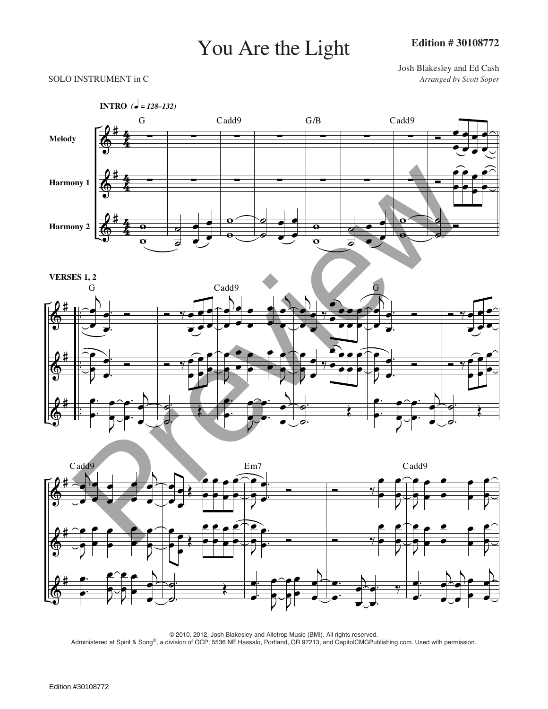## You Are the Light

Josh Blakesley and Ed Cash SOLO INSTRUMENT in C *Arranged by Scott Soper*





© 2010, 2012, Josh Blakesley and Alletrop Music (BMI). All rights reserved. Administered at Spirit & Song®, a division of OCP, 5536 NE Hassalo, Portland, OR 97213, and CapitolCMGPublishing.com. Used with permission.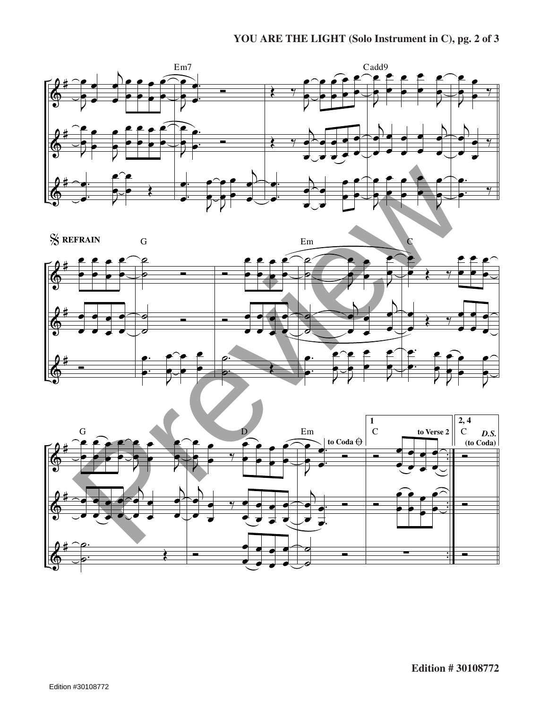